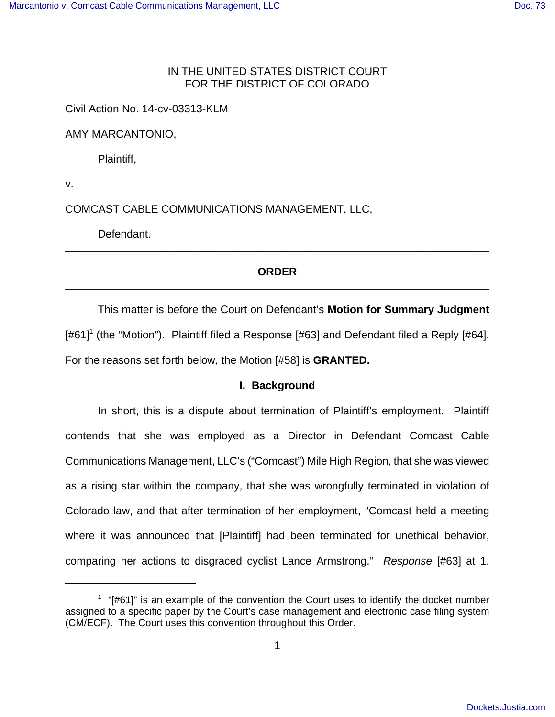# IN THE UNITED STATES DISTRICT COURT FOR THE DISTRICT OF COLORADO

Civil Action No. 14-cv-03313-KLM

AMY MARCANTONIO,

Plaintiff,

v.

COMCAST CABLE COMMUNICATIONS MANAGEMENT, LLC,

Defendant.

# **ORDER** \_\_\_\_\_\_\_\_\_\_\_\_\_\_\_\_\_\_\_\_\_\_\_\_\_\_\_\_\_\_\_\_\_\_\_\_\_\_\_\_\_\_\_\_\_\_\_\_\_\_\_\_\_\_\_\_\_\_\_\_\_\_\_\_\_\_\_\_\_\_\_

\_\_\_\_\_\_\_\_\_\_\_\_\_\_\_\_\_\_\_\_\_\_\_\_\_\_\_\_\_\_\_\_\_\_\_\_\_\_\_\_\_\_\_\_\_\_\_\_\_\_\_\_\_\_\_\_\_\_\_\_\_\_\_\_\_\_\_\_\_\_\_

This matter is before the Court on Defendant's **Motion for Summary Judgment** [#61]<sup>1</sup> (the "Motion"). Plaintiff filed a Response [#63] and Defendant filed a Reply [#64]. For the reasons set forth below, the Motion [#58] is **GRANTED.**

# **I. Background**

In short, this is a dispute about termination of Plaintiff's employment. Plaintiff contends that she was employed as a Director in Defendant Comcast Cable Communications Management, LLC's ("Comcast") Mile High Region, that she was viewed as a rising star within the company, that she was wrongfully terminated in violation of Colorado law, and that after termination of her employment, "Comcast held a meeting where it was announced that [Plaintiff] had been terminated for unethical behavior, comparing her actions to disgraced cyclist Lance Armstrong." Response [#63] at 1.

 $1$  "[#61]" is an example of the convention the Court uses to identify the docket number assigned to a specific paper by the Court's case management and electronic case filing system (CM/ECF). The Court uses this convention throughout this Order.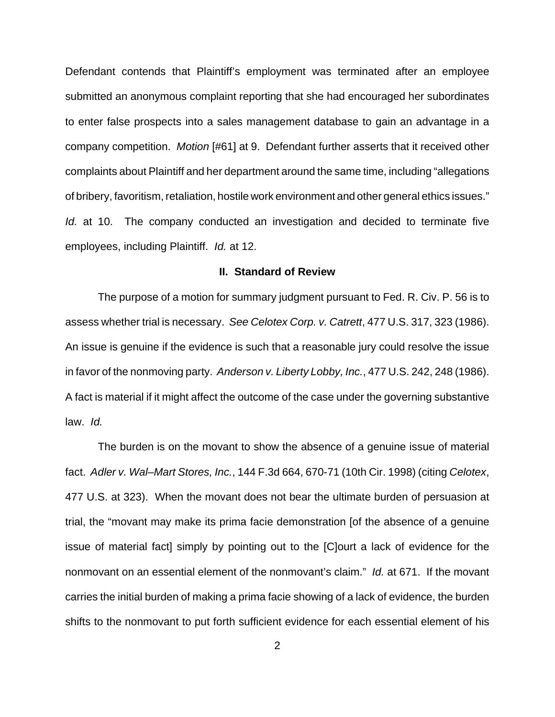Defendant contends that Plaintiff's employment was terminated after an employee submitted an anonymous complaint reporting that she had encouraged her subordinates to enter false prospects into a sales management database to gain an advantage in a company competition. Motion [#61] at 9. Defendant further asserts that it received other complaints about Plaintiff and her department around the same time, including "allegations of bribery, favoritism, retaliation, hostile work environment and other general ethics issues." Id. at 10. The company conducted an investigation and decided to terminate five employees, including Plaintiff. Id. at 12.

### **II. Standard of Review**

The purpose of a motion for summary judgment pursuant to Fed. R. Civ. P. 56 is to assess whether trial is necessary. See Celotex Corp. v. Catrett, 477 U.S. 317, 323 (1986). An issue is genuine if the evidence is such that a reasonable jury could resolve the issue in favor of the nonmoving party. Anderson v. Liberty Lobby, Inc., 477 U.S. 242, 248 (1986). A fact is material if it might affect the outcome of the case under the governing substantive law. Id.

The burden is on the movant to show the absence of a genuine issue of material fact. Adler v. Wal–Mart Stores, Inc., 144 F.3d 664, 670-71 (10th Cir. 1998) (citing Celotex, 477 U.S. at 323). When the movant does not bear the ultimate burden of persuasion at trial, the "movant may make its prima facie demonstration [of the absence of a genuine issue of material fact] simply by pointing out to the [C]ourt a lack of evidence for the nonmovant on an essential element of the nonmovant's claim." Id. at 671. If the movant carries the initial burden of making a prima facie showing of a lack of evidence, the burden shifts to the nonmovant to put forth sufficient evidence for each essential element of his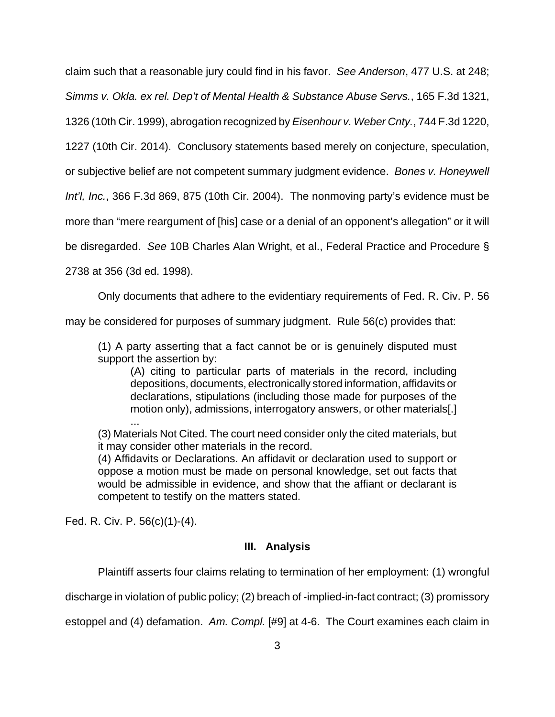claim such that a reasonable jury could find in his favor. See Anderson, 477 U.S. at 248;

Simms v. Okla. ex rel. Dep't of Mental Health & Substance Abuse Servs., 165 F.3d 1321,

1326 (10th Cir. 1999), abrogation recognized by Eisenhour v. Weber Cnty., 744 F.3d 1220,

1227 (10th Cir. 2014). Conclusory statements based merely on conjecture, speculation,

or subjective belief are not competent summary judgment evidence. Bones v. Honeywell

Int'l, Inc., 366 F.3d 869, 875 (10th Cir. 2004). The nonmoving party's evidence must be

more than "mere reargument of [his] case or a denial of an opponent's allegation" or it will

be disregarded. See 10B Charles Alan Wright, et al., Federal Practice and Procedure §

2738 at 356 (3d ed. 1998).

Only documents that adhere to the evidentiary requirements of Fed. R. Civ. P. 56

may be considered for purposes of summary judgment. Rule 56(c) provides that:

(1) A party asserting that a fact cannot be or is genuinely disputed must support the assertion by:

(A) citing to particular parts of materials in the record, including depositions, documents, electronically stored information, affidavits or declarations, stipulations (including those made for purposes of the motion only), admissions, interrogatory answers, or other materials[.]

... (3) Materials Not Cited. The court need consider only the cited materials, but it may consider other materials in the record.

(4) Affidavits or Declarations. An affidavit or declaration used to support or oppose a motion must be made on personal knowledge, set out facts that would be admissible in evidence, and show that the affiant or declarant is competent to testify on the matters stated.

Fed. R. Civ. P. 56(c)(1)-(4).

# **III. Analysis**

Plaintiff asserts four claims relating to termination of her employment: (1) wrongful

discharge in violation of public policy; (2) breach of -implied-in-fact contract; (3) promissory

estoppel and (4) defamation. Am. Compl. [#9] at 4-6. The Court examines each claim in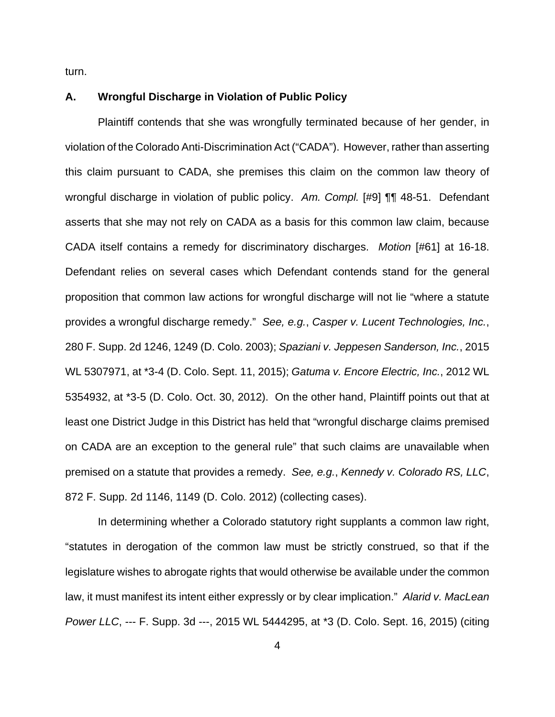turn.

## **A. Wrongful Discharge in Violation of Public Policy**

Plaintiff contends that she was wrongfully terminated because of her gender, in violation of the Colorado Anti-Discrimination Act ("CADA"). However, rather than asserting this claim pursuant to CADA, she premises this claim on the common law theory of wrongful discharge in violation of public policy. Am. Compl. [#9] **[1]** 48-51. Defendant asserts that she may not rely on CADA as a basis for this common law claim, because CADA itself contains a remedy for discriminatory discharges. Motion [#61] at 16-18. Defendant relies on several cases which Defendant contends stand for the general proposition that common law actions for wrongful discharge will not lie "where a statute provides a wrongful discharge remedy." See, e.g., Casper v. Lucent Technologies, Inc., 280 F. Supp. 2d 1246, 1249 (D. Colo. 2003); Spaziani v. Jeppesen Sanderson, Inc., 2015 WL 5307971, at \*3-4 (D. Colo. Sept. 11, 2015); Gatuma v. Encore Electric, Inc., 2012 WL 5354932, at \*3-5 (D. Colo. Oct. 30, 2012). On the other hand, Plaintiff points out that at least one District Judge in this District has held that "wrongful discharge claims premised on CADA are an exception to the general rule" that such claims are unavailable when premised on a statute that provides a remedy. See, e.g., Kennedy v. Colorado RS, LLC, 872 F. Supp. 2d 1146, 1149 (D. Colo. 2012) (collecting cases).

In determining whether a Colorado statutory right supplants a common law right, "statutes in derogation of the common law must be strictly construed, so that if the legislature wishes to abrogate rights that would otherwise be available under the common law, it must manifest its intent either expressly or by clear implication." Alarid v. MacLean Power LLC, --- F. Supp. 3d ---, 2015 WL 5444295, at \*3 (D. Colo. Sept. 16, 2015) (citing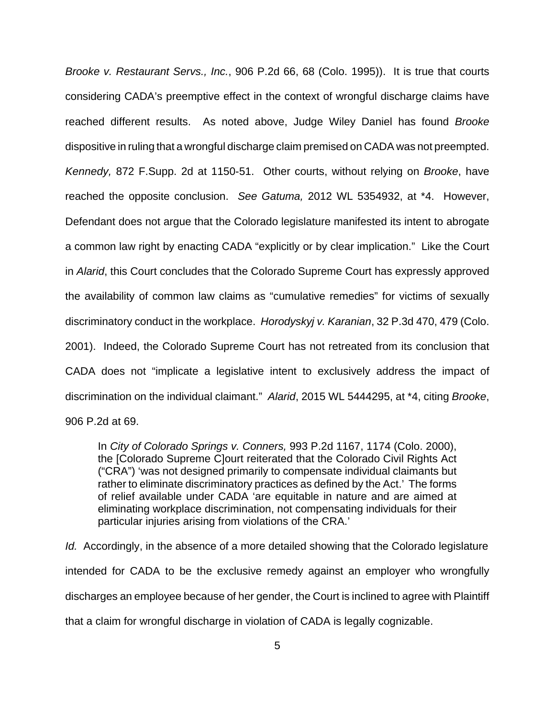Brooke v. Restaurant Servs., Inc., 906 P.2d 66, 68 (Colo. 1995)). It is true that courts considering CADA's preemptive effect in the context of wrongful discharge claims have reached different results. As noted above, Judge Wiley Daniel has found Brooke dispositive in ruling that a wrongful discharge claim premised on CADA was not preempted. Kennedy, 872 F.Supp. 2d at 1150-51. Other courts, without relying on Brooke, have reached the opposite conclusion. See Gatuma, 2012 WL 5354932, at \*4. However, Defendant does not argue that the Colorado legislature manifested its intent to abrogate a common law right by enacting CADA "explicitly or by clear implication." Like the Court in Alarid, this Court concludes that the Colorado Supreme Court has expressly approved the availability of common law claims as "cumulative remedies" for victims of sexually discriminatory conduct in the workplace. Horodyskyj v. Karanian, 32 P.3d 470, 479 (Colo. 2001). Indeed, the Colorado Supreme Court has not retreated from its conclusion that CADA does not "implicate a legislative intent to exclusively address the impact of discrimination on the individual claimant." Alarid, 2015 WL 5444295, at \*4, citing Brooke, 906 P.2d at 69.

In City of Colorado Springs v. Conners, 993 P.2d 1167, 1174 (Colo. 2000), the [Colorado Supreme C]ourt reiterated that the Colorado Civil Rights Act ("CRA") 'was not designed primarily to compensate individual claimants but rather to eliminate discriminatory practices as defined by the Act.' The forms of relief available under CADA 'are equitable in nature and are aimed at eliminating workplace discrimination, not compensating individuals for their particular injuries arising from violations of the CRA.'

Id. Accordingly, in the absence of a more detailed showing that the Colorado legislature intended for CADA to be the exclusive remedy against an employer who wrongfully discharges an employee because of her gender, the Court is inclined to agree with Plaintiff that a claim for wrongful discharge in violation of CADA is legally cognizable.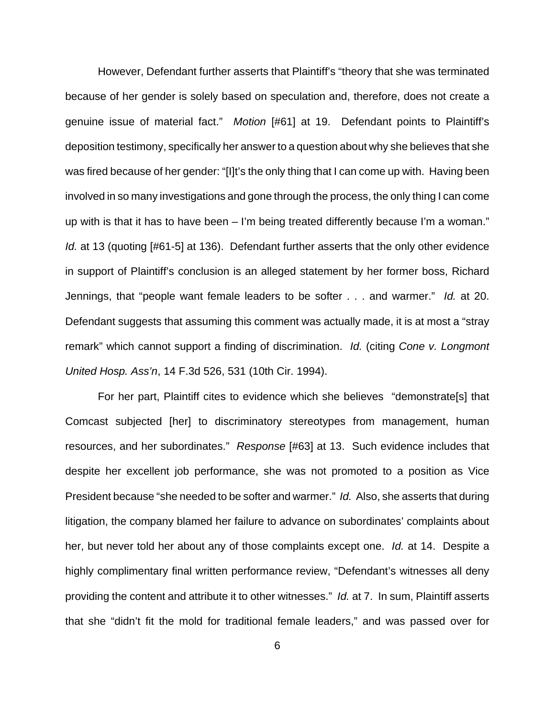However, Defendant further asserts that Plaintiff's "theory that she was terminated because of her gender is solely based on speculation and, therefore, does not create a genuine issue of material fact." Motion [#61] at 19. Defendant points to Plaintiff's deposition testimony, specifically her answer to a question about why she believes that she was fired because of her gender: "[I]t's the only thing that I can come up with. Having been involved in so many investigations and gone through the process, the only thing I can come up with is that it has to have been – I'm being treated differently because I'm a woman." Id. at 13 (quoting [#61-5] at 136). Defendant further asserts that the only other evidence in support of Plaintiff's conclusion is an alleged statement by her former boss, Richard Jennings, that "people want female leaders to be softer . . . and warmer." Id. at 20. Defendant suggests that assuming this comment was actually made, it is at most a "stray remark" which cannot support a finding of discrimination. Id. (citing Cone v. Longmont United Hosp. Ass'n, 14 F.3d 526, 531 (10th Cir. 1994).

For her part, Plaintiff cites to evidence which she believes "demonstrate[s] that Comcast subjected [her] to discriminatory stereotypes from management, human resources, and her subordinates." Response [#63] at 13. Such evidence includes that despite her excellent job performance, she was not promoted to a position as Vice President because "she needed to be softer and warmer." Id. Also, she asserts that during litigation, the company blamed her failure to advance on subordinates' complaints about her, but never told her about any of those complaints except one. Id. at 14. Despite a highly complimentary final written performance review, "Defendant's witnesses all deny providing the content and attribute it to other witnesses." Id. at 7. In sum, Plaintiff asserts that she "didn't fit the mold for traditional female leaders," and was passed over for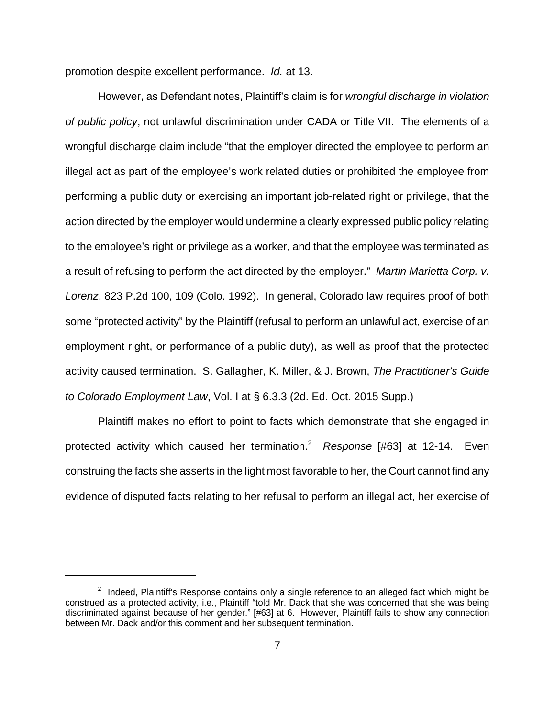promotion despite excellent performance. Id. at 13.

However, as Defendant notes, Plaintiff's claim is for wrongful discharge in violation of public policy, not unlawful discrimination under CADA or Title VII. The elements of a wrongful discharge claim include "that the employer directed the employee to perform an illegal act as part of the employee's work related duties or prohibited the employee from performing a public duty or exercising an important job-related right or privilege, that the action directed by the employer would undermine a clearly expressed public policy relating to the employee's right or privilege as a worker, and that the employee was terminated as a result of refusing to perform the act directed by the employer." Martin Marietta Corp. v. Lorenz, 823 P.2d 100, 109 (Colo. 1992). In general, Colorado law requires proof of both some "protected activity" by the Plaintiff (refusal to perform an unlawful act, exercise of an employment right, or performance of a public duty), as well as proof that the protected activity caused termination. S. Gallagher, K. Miller, & J. Brown, The Practitioner's Guide to Colorado Employment Law, Vol. I at § 6.3.3 (2d. Ed. Oct. 2015 Supp.)

Plaintiff makes no effort to point to facts which demonstrate that she engaged in protected activity which caused her termination.<sup>2</sup>  $R$ esponse [#63] at 12-14. Even construing the facts she asserts in the light most favorable to her, the Court cannot find any evidence of disputed facts relating to her refusal to perform an illegal act, her exercise of

<sup>&</sup>lt;sup>2</sup> Indeed, Plaintiff's Response contains only a single reference to an alleged fact which might be construed as a protected activity, i.e., Plaintiff "told Mr. Dack that she was concerned that she was being discriminated against because of her gender." [#63] at 6. However, Plaintiff fails to show any connection between Mr. Dack and/or this comment and her subsequent termination.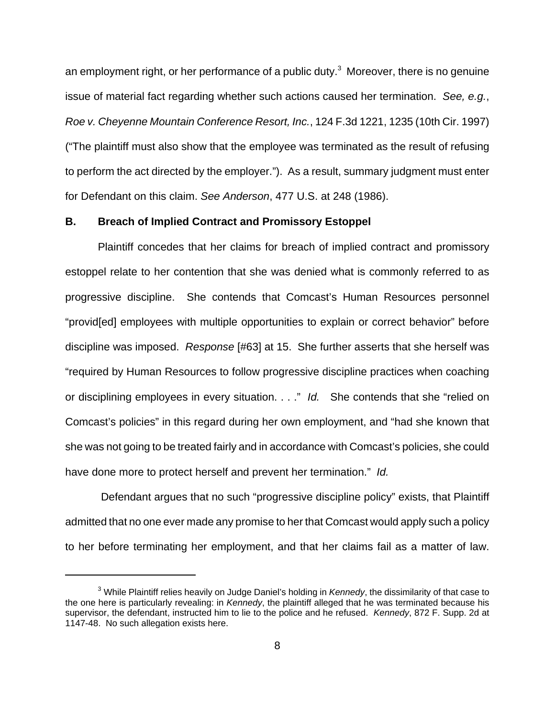an employment right, or her performance of a public duty. $3$  Moreover, there is no genuine issue of material fact regarding whether such actions caused her termination. See, e.g., Roe v. Cheyenne Mountain Conference Resort, Inc., 124 F.3d 1221, 1235 (10th Cir. 1997) ("The plaintiff must also show that the employee was terminated as the result of refusing to perform the act directed by the employer."). As a result, summary judgment must enter for Defendant on this claim. See Anderson, 477 U.S. at 248 (1986).

### **B. Breach of Implied Contract and Promissory Estoppel**

Plaintiff concedes that her claims for breach of implied contract and promissory estoppel relate to her contention that she was denied what is commonly referred to as progressive discipline. She contends that Comcast's Human Resources personnel "provid[ed] employees with multiple opportunities to explain or correct behavior" before discipline was imposed. Response [#63] at 15. She further asserts that she herself was "required by Human Resources to follow progressive discipline practices when coaching or disciplining employees in every situation. . . ." Id. She contends that she "relied on Comcast's policies" in this regard during her own employment, and "had she known that she was not going to be treated fairly and in accordance with Comcast's policies, she could have done more to protect herself and prevent her termination." Id.

 Defendant argues that no such "progressive discipline policy" exists, that Plaintiff admitted that no one ever made any promise to her that Comcast would apply such a policy to her before terminating her employment, and that her claims fail as a matter of law.

 $3$  While Plaintiff relies heavily on Judge Daniel's holding in Kennedy, the dissimilarity of that case to the one here is particularly revealing: in Kennedy, the plaintiff alleged that he was terminated because his supervisor, the defendant, instructed him to lie to the police and he refused. Kennedy, 872 F. Supp. 2d at 1147-48. No such allegation exists here.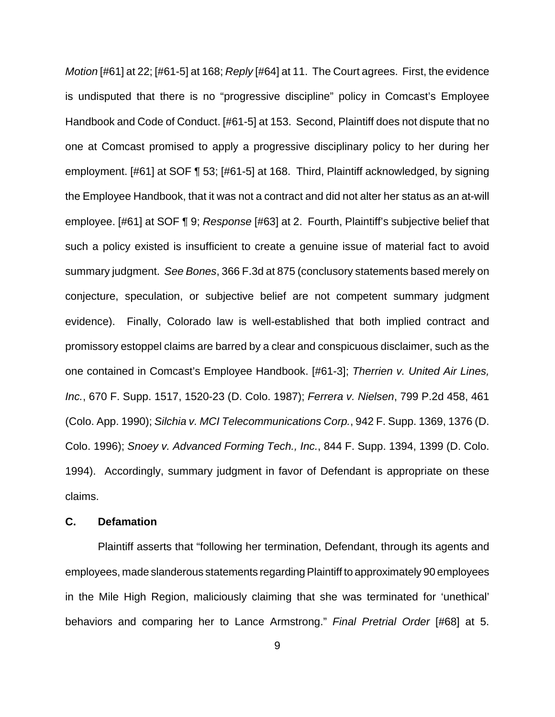Motion [#61] at 22; [#61-5] at 168; Reply [#64] at 11. The Court agrees. First, the evidence is undisputed that there is no "progressive discipline" policy in Comcast's Employee Handbook and Code of Conduct. [#61-5] at 153. Second, Plaintiff does not dispute that no one at Comcast promised to apply a progressive disciplinary policy to her during her employment. [#61] at SOF ¶ 53; [#61-5] at 168. Third, Plaintiff acknowledged, by signing the Employee Handbook, that it was not a contract and did not alter her status as an at-will employee. [#61] at SOF ¶ 9; Response [#63] at 2. Fourth, Plaintiff's subjective belief that such a policy existed is insufficient to create a genuine issue of material fact to avoid summary judgment. See Bones, 366 F.3d at 875 (conclusory statements based merely on conjecture, speculation, or subjective belief are not competent summary judgment evidence). Finally, Colorado law is well-established that both implied contract and promissory estoppel claims are barred by a clear and conspicuous disclaimer, such as the one contained in Comcast's Employee Handbook. [#61-3]; Therrien v. United Air Lines, Inc., 670 F. Supp. 1517, 1520-23 (D. Colo. 1987); Ferrera v. Nielsen, 799 P.2d 458, 461 (Colo. App. 1990); Silchia v. MCI Telecommunications Corp., 942 F. Supp. 1369, 1376 (D. Colo. 1996); Snoey v. Advanced Forming Tech., Inc., 844 F. Supp. 1394, 1399 (D. Colo. 1994). Accordingly, summary judgment in favor of Defendant is appropriate on these claims.

## **C. Defamation**

Plaintiff asserts that "following her termination, Defendant, through its agents and employees, made slanderous statements regarding Plaintiff to approximately 90 employees in the Mile High Region, maliciously claiming that she was terminated for 'unethical' behaviors and comparing her to Lance Armstrong." Final Pretrial Order [#68] at 5.

9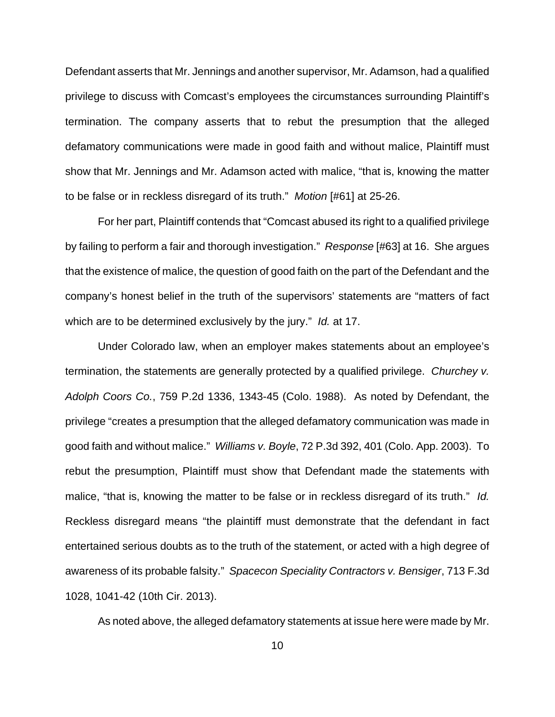Defendant asserts that Mr. Jennings and another supervisor, Mr. Adamson, had a qualified privilege to discuss with Comcast's employees the circumstances surrounding Plaintiff's termination. The company asserts that to rebut the presumption that the alleged defamatory communications were made in good faith and without malice, Plaintiff must show that Mr. Jennings and Mr. Adamson acted with malice, "that is, knowing the matter to be false or in reckless disregard of its truth." Motion [#61] at 25-26.

For her part, Plaintiff contends that "Comcast abused its right to a qualified privilege by failing to perform a fair and thorough investigation." Response [#63] at 16. She argues that the existence of malice, the question of good faith on the part of the Defendant and the company's honest belief in the truth of the supervisors' statements are "matters of fact which are to be determined exclusively by the jury." Id. at 17.

Under Colorado law, when an employer makes statements about an employee's termination, the statements are generally protected by a qualified privilege. Churchey v. Adolph Coors Co., 759 P.2d 1336, 1343-45 (Colo. 1988). As noted by Defendant, the privilege "creates a presumption that the alleged defamatory communication was made in good faith and without malice." Williams v. Boyle, 72 P.3d 392, 401 (Colo. App. 2003). To rebut the presumption, Plaintiff must show that Defendant made the statements with malice, "that is, knowing the matter to be false or in reckless disregard of its truth." Id. Reckless disregard means "the plaintiff must demonstrate that the defendant in fact entertained serious doubts as to the truth of the statement, or acted with a high degree of awareness of its probable falsity." Spacecon Speciality Contractors v. Bensiger, 713 F.3d 1028, 1041-42 (10th Cir. 2013).

As noted above, the alleged defamatory statements at issue here were made by Mr.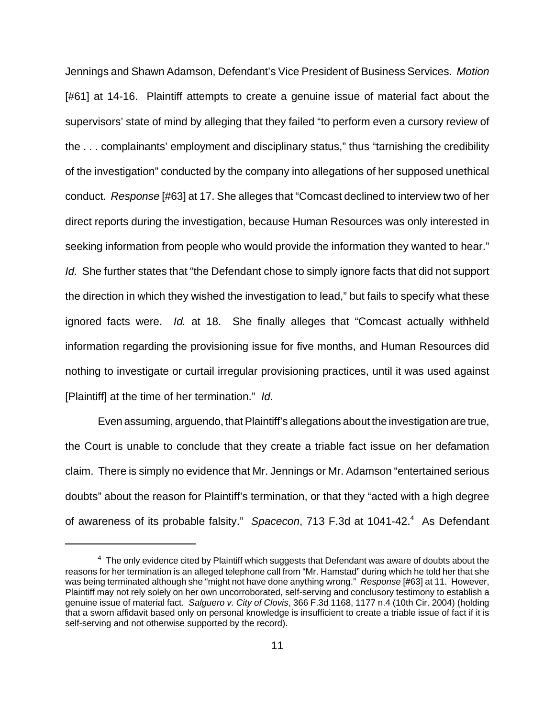Jennings and Shawn Adamson, Defendant's Vice President of Business Services. Motion [#61] at 14-16. Plaintiff attempts to create a genuine issue of material fact about the supervisors' state of mind by alleging that they failed "to perform even a cursory review of the . . . complainants' employment and disciplinary status," thus "tarnishing the credibility of the investigation" conducted by the company into allegations of her supposed unethical conduct. Response [#63] at 17. She alleges that "Comcast declined to interview two of her direct reports during the investigation, because Human Resources was only interested in seeking information from people who would provide the information they wanted to hear." Id. She further states that "the Defendant chose to simply ignore facts that did not support the direction in which they wished the investigation to lead," but fails to specify what these ignored facts were. Id. at 18. She finally alleges that "Comcast actually withheld information regarding the provisioning issue for five months, and Human Resources did nothing to investigate or curtail irregular provisioning practices, until it was used against [Plaintiff] at the time of her termination." Id.

Even assuming, arguendo, that Plaintiff's allegations about the investigation are true, the Court is unable to conclude that they create a triable fact issue on her defamation claim. There is simply no evidence that Mr. Jennings or Mr. Adamson "entertained serious doubts" about the reason for Plaintiff's termination, or that they "acted with a high degree of awareness of its probable falsity." Spacecon, 713 F.3d at 1041-42.<sup>4</sup> As Defendant

 $^4$  The only evidence cited by Plaintiff which suggests that Defendant was aware of doubts about the reasons for her termination is an alleged telephone call from "Mr. Hamstad" during which he told her that she was being terminated although she "might not have done anything wrong." Response [#63] at 11. However, Plaintiff may not rely solely on her own uncorroborated, self-serving and conclusory testimony to establish a genuine issue of material fact. Salguero v. City of Clovis, 366 F.3d 1168, 1177 n.4 (10th Cir. 2004) (holding that a sworn affidavit based only on personal knowledge is insufficient to create a triable issue of fact if it is self-serving and not otherwise supported by the record).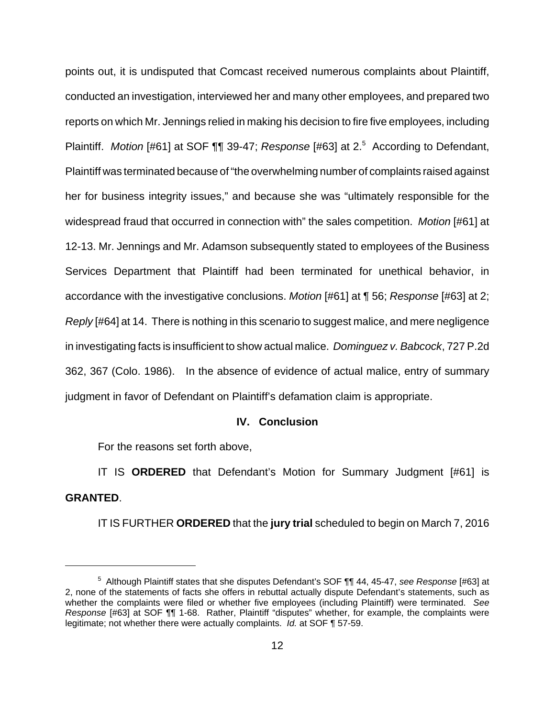points out, it is undisputed that Comcast received numerous complaints about Plaintiff, conducted an investigation, interviewed her and many other employees, and prepared two reports on which Mr. Jennings relied in making his decision to fire five employees, including Plaintiff. Motion [#61] at SOF  $\P\P$  39-47; Response [#63] at 2.<sup>5</sup> According to Defendant, Plaintiff was terminated because of "the overwhelming number of complaints raised against her for business integrity issues," and because she was "ultimately responsible for the widespread fraud that occurred in connection with" the sales competition. Motion [#61] at 12-13. Mr. Jennings and Mr. Adamson subsequently stated to employees of the Business Services Department that Plaintiff had been terminated for unethical behavior, in accordance with the investigative conclusions. Motion [#61] at ¶ 56; Response [#63] at 2; Reply [#64] at 14. There is nothing in this scenario to suggest malice, and mere negligence in investigating facts is insufficient to show actual malice. Dominguez v. Babcock, 727 P.2d 362, 367 (Colo. 1986). In the absence of evidence of actual malice, entry of summary judgment in favor of Defendant on Plaintiff's defamation claim is appropriate.

#### **IV. Conclusion**

For the reasons set forth above,

IT IS **ORDERED** that Defendant's Motion for Summary Judgment [#61] is **GRANTED**.

IT IS FURTHER **ORDERED** that the **jury trial** scheduled to begin on March 7, 2016

<sup>&</sup>lt;sup>5</sup> Although Plaintiff states that she disputes Defendant's SOF ¶¶ 44, 45-47, see Response [#63] at 2, none of the statements of facts she offers in rebuttal actually dispute Defendant's statements, such as whether the complaints were filed or whether five employees (including Plaintiff) were terminated. See Response [#63] at SOF ¶¶ 1-68. Rather, Plaintiff "disputes" whether, for example, the complaints were legitimate; not whether there were actually complaints. Id. at SOF ¶ 57-59.